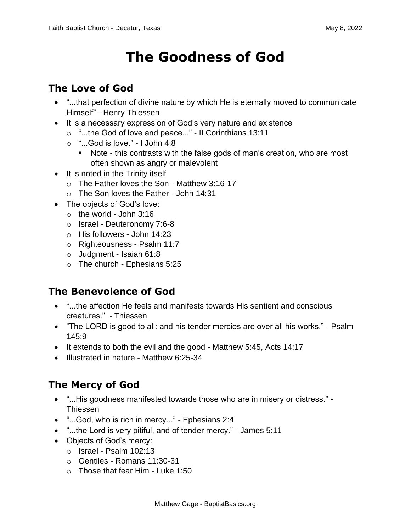# **The Goodness of God**

## **The Love of God**

- "...that perfection of divine nature by which He is eternally moved to communicate Himself" - Henry Thiessen
- It is a necessary expression of God's very nature and existence
	- o "...the God of love and peace..." II Corinthians 13:11
	- $\circ$  "...God is love." I John 4:8
		- Note this contrasts with the false gods of man's creation, who are most often shown as angry or malevolent
- It is noted in the Trinity itself
	- o The Father loves the Son Matthew 3:16-17
	- o The Son loves the Father John 14:31
- The objects of God's love:
	- $\circ$  the world John 3:16
	- o Israel Deuteronomy 7:6-8
	- o His followers John 14:23
	- o Righteousness Psalm 11:7
	- o Judgment Isaiah 61:8
	- $\circ$  The church Ephesians 5:25

### **The Benevolence of God**

- "...the affection He feels and manifests towards His sentient and conscious creatures." - Thiessen
- "The LORD is good to all: and his tender mercies are over all his works." Psalm 145:9
- It extends to both the evil and the good Matthew 5:45, Acts 14:17
- Illustrated in nature Matthew 6:25-34

### **The Mercy of God**

- "...His goodness manifested towards those who are in misery or distress." Thiessen
- "...God, who is rich in mercy..." Ephesians 2:4
- "...the Lord is very pitiful, and of tender mercy." James 5:11
- Objects of God's mercy:
	- o Israel Psalm 102:13
	- o Gentiles Romans 11:30-31
	- o Those that fear Him Luke 1:50